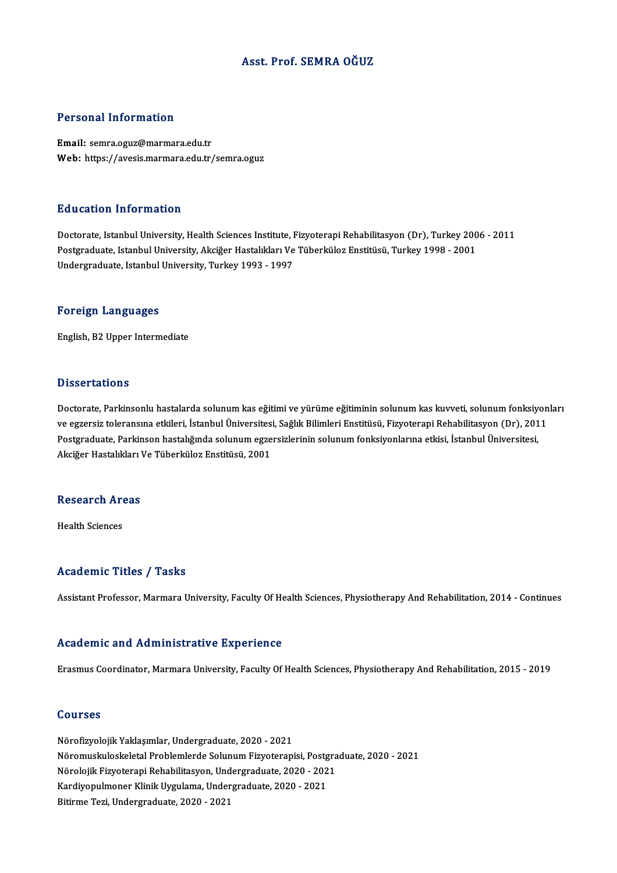### Asst. Prof. SEMRA OĞUZ

### Personal Information

Email: semra.oguz@marmara.edu.tr Web: https://avesis.marmara.edu.tr/semra.oguz

### Education Information

Education Information<br>Doctorate, Istanbul University, Health Sciences Institute, Fizyoterapi Rehabilitasyon (Dr), Turkey 2006 - 2011<br>Postsraduate Istanbul University, Aksižer Hestalikları Ve Tüberküler Enstitüsü, Turkey 19 Pu u outron Timor inutron<br>Doctorate, Istanbul University, Health Sciences Institute, Fizyoterapi Rehabilitasyon (Dr), Turkey 200<br>Postgraduate, Istanbul University, Akciğer Hastalıkları Ve Tüberküloz Enstitüsü, Turkey 1998 Postgraduate, Istanbul University, Akciğer Hastalıkları Ve Tüberküloz Enstitüsü, Turkey 1998 - 2001<br>Undergraduate, Istanbul University, Turkey 1993 - 1997

### Foreign Languages

English,B2Upper Intermediate

### **Dissertations**

Doctorate, Parkinsonlu hastalarda solunum kas eğitimi ve yürüme eğitiminin solunum kas kuvveti, solunum fonksiyonları ve egzersiz toleransına etkileri, İstanbul Üniversitesi, Sağlık Bilimleri Enstitüsü, Fizyoterapi Rehabilitasyon (Dr), 2011 Doctorate, Parkinsonlu hastalarda solunum kas eğitimi ve yürüme eğitiminin solunum kas kuvveti, solunum fonksiy<br>ve egzersiz toleransına etkileri, İstanbul Üniversitesi, Sağlık Bilimleri Enstitüsü, Fizyoterapi Rehabilitasyo ve egzersiz toleransına etkileri, İstanbul Üniversites:<br>Postgraduate, Parkinson hastalığında solunum egze<br>Akciğer Hastalıkları Ve Tüberküloz Enstitüsü, 2001 Akciğer Hastalıkları Ve Tüberküloz Enstitüsü, 2001<br>Research Areas

Health Sciences

### Academic Titles / Tasks

Assistant Professor, Marmara University, Faculty Of Health Sciences, Physiotherapy And Rehabilitation, 2014 - Continues

### Academic and Administrative Experience

Erasmus Coordinator, Marmara University, Faculty Of Health Sciences, Physiotherapy And Rehabilitation, 2015 - 2019

### Courses

NörofizyolojikYaklaşımlar,Undergraduate,2020 -2021 SS&1988<br>Nörofizyolojik Yaklaşımlar, Undergraduate, 2020 - 2021<br>Nöromuskuloskeletal Problemlerde Solunum Fizyoterapisi, Postgraduate, 2020 - 2021<br>Nörolojik Firyoterani Bohabilitasyon, Undergraduate, 2020, -2021 Nörofizyolojik Yaklaşımlar, Undergraduate, 2020 - 2021<br>Nöromuskuloskeletal Problemlerde Solunum Fizyoterapisi, Postgra<br>Nörolojik Fizyoterapi Rehabilitasyon, Undergraduate, 2020 - 2021<br>Kardiyanulmanar Klinik Uygulama, Under Nöromuskuloskeletal Problemlerde Solunum Fizyoterapisi, Postg<br>Nörolojik Fizyoterapi Rehabilitasyon, Undergraduate, 2020 - 202<br>Kardiyopulmoner Klinik Uygulama, Undergraduate, 2020 - 2021<br>Bitirme Teri, Undergraduate, 2020, 2 Nörolojik Fizyoterapi Rehabilitasyon, Undergraduate, 2020 - 2021<br>Kardiyopulmoner Klinik Uygulama, Undergraduate, 2020 - 2021<br>Bitirme Tezi, Undergraduate, 2020 - 2021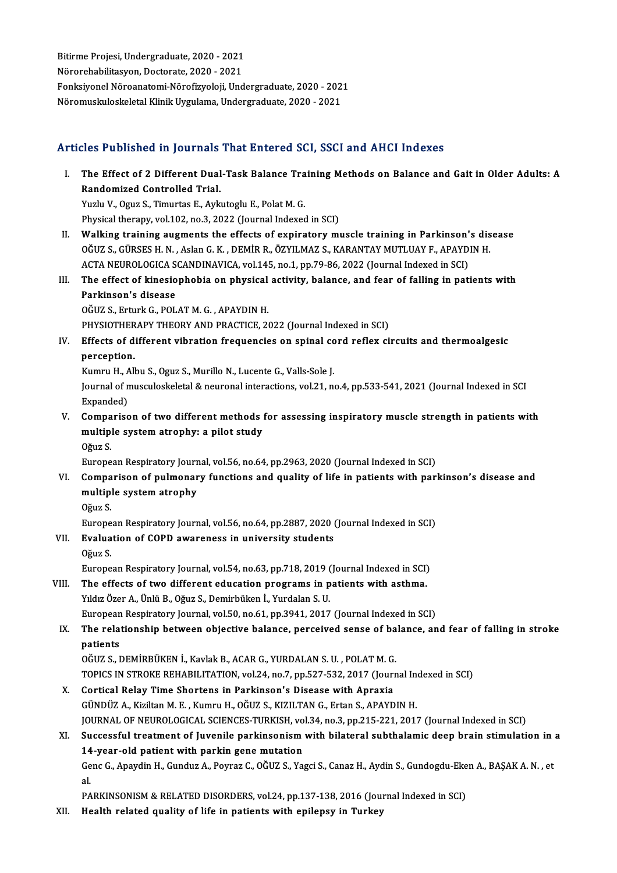Bitirme Projesi, Undergraduate, 2020 - 2021<br>Nënonebebilitesyon, Destenste, 2020 - 2021 Bitirme Projesi, Undergraduate, 2020 - 2021<br>Nörorehabilitasyon, Doctorate, 2020 - 2021<br>Fenksivonel Näreenstemi Närefizveleji, Und Nörorehabilitasyon, Doctorate, 2020 - 2021<br>Fonksiyonel Nöroanatomi-Nörofizyoloji, Undergraduate, 2020 - 2021 NöromuskuloskeletalKlinikUygulama,Undergraduate,2020 -2021

## Articles Published in Journals That Entered SCI, SSCI and AHCI Indexes

rticles Published in Journals That Entered SCI, SSCI and AHCI Indexes<br>I. The Effect of 2 Different Dual-Task Balance Training Methods on Balance and Gait in Older Adults: A The Effect of 2 Different Dual<br>Randomized Controlled Trial.<br>Yurly V. Oguz S. Timurtos E. Ault The Effect of 2 Different Dual-Task Balance Tra<br>Randomized Controlled Trial.<br>Yuzlu V., Oguz S., Timurtas E., Aykutoglu E., Polat M. G.<br>Physical therany, val 103, no 3, 2022 (Journal Indoves

Randomized Controlled Trial.<br>Puzlu V., Oguz S., Timurtas E., Aykutoglu E., Polat M. G.<br>Physical therapy, vol.102, no.3, 2022 (Journal Indexed in SCI)

- II. Walking training augments the effects of expiratory muscle training in Parkinson's disease Physical therapy, vol.102, no.3, 2022 (Journal Indexed in SCI)<br>Walking training augments the effects of expiratory muscle training in Parkinson's dis<br>OĞUZ S., GÜRSES H. N. , Aslan G. K. , DEMİR R., ÖZYILMAZ S., KARANTAY MU Walking training augments the effects of expiratory muscle training in Parkinson'<br>OĞUZ S., GÜRSES H. N. , Aslan G. K. , DEMİR R., ÖZYILMAZ S., KARANTAY MUTLUAY F., APAYD<br>ACTA NEUROLOGICA SCANDINAVICA, vol.145, no.1, pp.79-OĞUZ S., GÜRSES H. N. , Aslan G. K. , DEMİR R., ÖZYILMAZ S., KARANTAY MUTLUAY F., APAYDIN H.<br>ACTA NEUROLOGICA SCANDINAVICA, vol.145, no.1, pp.79-86, 2022 (Journal Indexed in SCI)<br>III. The effect of kinesiophobia on physica
- ACTA NEUROLOGICA SCANDINAVICA, vol.145, no.1, pp.79-86, 2022 (Journal Indexed in SCI)<br>The effect of kinesiophobia on physical activity, balance, and fear of falling in pat<br>Parkinson's disease<br>OĞUZ S., Erturk G., POLAT M. G The effect of kinesiophobia on physical<br>Parkinson's disease<br>OĞUZ S., Erturk G., POLAT M. G. , APAYDIN H.<br>PHYSIOTHERADY THEODY AND PRACTICE 24 Parkinson's disease<br>OĞUZ S., Erturk G., POLAT M. G. , APAYDIN H.<br>PHYSIOTHERAPY THEORY AND PRACTICE, 2022 (Journal Indexed in SCI)<br>Effects of different vibration frequencies en spinal sord reflex si

IV. Effects of different vibration frequencies on spinal cord reflex circuits and thermoalgesic PHYSIOTHER<br><mark>Effects of d</mark><br>perception.<br>Kumpu H. All

Kumru H., Albu S., Oguz S., Murillo N., Lucente G., Valls-Sole J.

perception.<br>Kumru H., Albu S., Oguz S., Murillo N., Lucente G., Valls-Sole J.<br>Journal of musculoskeletal & neuronal interactions, vol.21, no.4, pp.533-541, 2021 (Journal Indexed in SCI<br>Evnanded) Kumru H., A<br>Journal of n<br>Expanded)<br>Comparise Journal of musculoskeletal & neuronal interactions, vol.21, no.4, pp.533-541, 2021 (Journal Indexed in SCI<br>Expanded)<br>V. Comparison of two different methods for assessing inspiratory muscle strength in patients with<br>multipl

Expanded)<br>Comparison of two different methods<br>multiple system atrophy: a pilot study<br>Oğuz S Compa<br>multipl<br>Oğuz S.<br>Europe multiple system atrophy: a pilot study<br>Oğuz S.<br>European Respiratory Journal, vol.56, no.64, pp.2963, 2020 (Journal Indexed in SCI)

- VI. Comparison of pulmonary functions and quality of life in patients with parkinson's disease and European Respiratory Jourr<br>Comparison of pulmonar<br>multiple system atrophy<br>Oğuz S Compa<br>multipl<br>Oğuz S.<br>Europe multiple system atrophy<br>Oğuz S.<br>European Respiratory Journal, vol.56, no.64, pp.2887, 2020 (Journal Indexed in SCI)<br>Evaluation of COPD avvanances in university students
	-

## Oğuz S.<br>European Respiratory Journal, vol.56, no.64, pp.2887, 2020 (<br>VII. Evaluation of COPD awareness in university students<br>Oğuz S. Europe<br><mark>Evalua</mark><br>Oğuz S.<br>Europe

European Respiratory Journal, vol.54, no.63, pp.718, 2019 (Journal Indexed in SCI)

## Oğuz S.<br>European Respiratory Journal, vol.54, no.63, pp.718, 2019 (Journal Indexed in SCI)<br>VIII. The effects of two different education programs in patients with asthma.<br>Vidiz Özer A. Ünlü B. Oğuz S. Domirbüken İ. Vurdalan European Respiratory Journal, vol.54, no.63, pp.718, 2019 (<br>The effects of two different education programs in p<br>Yıldız Özer A., Ünlü B., Oğuz S., Demirbüken İ., Yurdalan S. U.<br>European Bespiratory Journal, vol.50, no.61, The effects of two different education programs in patients with asthma.<br>Yıldız Özer A., Ünlü B., Oğuz S., Demirbüken İ., Yurdalan S. U.<br>European Respiratory Journal, vol.50, no.61, pp.3941, 2017 (Journal Indexed in SCI)<br>T

## Yıldız Özer A., Ünlü B., Oğuz S., Demirbüken İ., Yurdalan S. U.<br>European Respiratory Journal, vol.50, no.61, pp.3941, 2017 (Journal Indexed in SCI)<br>IX. The relationship between objective balance, perceived sense of bal European<br>The rela<br>patients<br>OČUZ S. I The relationship between objective balance, perceived sense of ba<br>patients<br>OĞUZ S., DEMİRBÜKEN İ., Kavlak B., ACAR G., YURDALAN S. U. , POLAT M. G.<br>TOBICS IN STROKE REHABU ITATION vol 24. no 7. np 527.522.2017 (Journ patients<br>OĞUZ S., DEMİRBÜKEN İ., Kavlak B., ACAR G., YURDALAN S. U. , POLAT M. G.<br>TOPICS IN STROKE REHABILITATION, vol.24, no.7, pp.527-532, 2017 (Journal Indexed in SCI)<br>Corticel Belev Time Shortons in Perkinson's Disease

OĞUZ S., DEMİRBÜKEN İ., Kavlak B., ACAR G., YURDALAN S. U. , POLAT M. G.<br>TOPICS IN STROKE REHABILITATION, vol.24, no.7, pp.527-532, 2017 (Journ<br>X. Cortical Relay Time Shortens in Parkinson's Disease with Apraxia<br>CÜNDÜZ A. TOPICS IN STROKE REHABILITATION, vol.24, no.7, pp.527-532, 2017 (Journal Incortical Relay Time Shortens in Parkinson's Disease with Apraxia<br>GÜNDÜZ A., Kiziltan M. E. , Kumru H., OĞUZ S., KIZILTAN G., Ertan S., APAYDIN H.<br>J Cortical Relay Time Shortens in Parkinson's Disease with Apraxia<br>GÜNDÜZ A., Kiziltan M. E. , Kumru H., OĞUZ S., KIZILTAN G., Ertan S., APAYDIN H.<br>JOURNAL OF NEUROLOGICAL SCIENCES-TURKISH, vol.34, no.3, pp.215-221, 2017 (Jo GÜNDÜZ A., Kiziltan M. E. , Kumru H., OĞUZ S., KIZILTAN G., Ertan S., APAYDIN H.<br>JOURNAL OF NEUROLOGICAL SCIENCES-TURKISH, vol.34, no.3, pp.215-221, 2017 (Journal Indexed in SCI)<br>XI. Successful treatment of Juvenile parkin

## 10URNAL OF NEUROLOGICAL SCIENCES-TURKISH, vo<br>Successful treatment of Juvenile parkinsonism<br>14-year-old patient with parkin gene mutation<br>CanaC Apaydin H. Cundus A. Paymar C. OČUZ S. Ya Successful treatment of Juvenile parkinsonism with bilateral subthalamic deep brain stimulation in a<br>14-year-old patient with parkin gene mutation<br>Genc G., Apaydin H., Gunduz A., Poyraz C., OĞUZ S., Yagci S., Canaz H., Ayd 14<br>Ge<br>al.

Genc G., Apaydin H., Gunduz A., Poyraz C., OĞUZ S., Yagci S., Canaz H., Aydin S., Gundogdu-Eken A., BAŞAK A. N. , et<br>al.<br>PARKINSONISM & RELATED DISORDERS, vol.24, pp.137-138, 2016 (Journal Indexed in SCI)

XII. Health related quality of life in patients with epilepsy in Turkey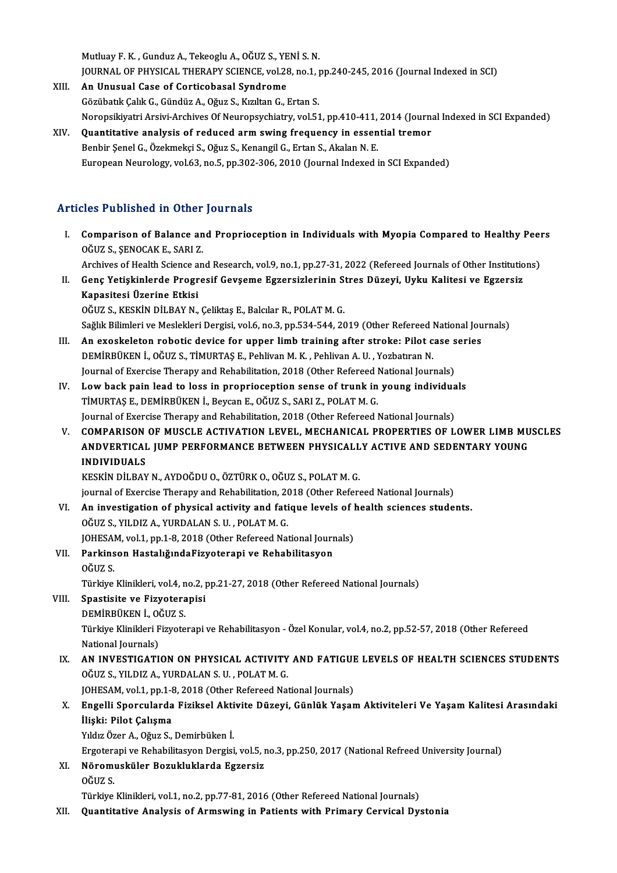MutluayF.K. ,GunduzA.,TekeogluA.,OĞUZ S.,YENİ S.N. Mutluay F. K. , Gunduz A., Tekeoglu A., OĞUZ S., YENİ S. N.<br>JOURNAL OF PHYSICAL THERAPY SCIENCE, vol.28, no.1, pp.240-245, 2016 (Journal Indexed in SCI)<br>An Unugual Gase of Contisebosel Syndrome

- XIII. An Unusual Case of Corticobasal Syndrome<br>Gözübatık Çalık G., Gündüz A., Oğuz S., Kızıltan G., Ertan S. JOURNAL OF PHYSICAL THERAPY SCIENCE, vol.28, no.1, <sub>1</sub><br>An Unusual Case of Corticobasal Syndrome<br>Gözübatık Çalık G., Gündüz A., Oğuz S., Kızıltan G., Ertan S.<br>Naponsikiyatri Arsiyi Arshiyas Of Nauponsushistru vol.54 Noropsikiyatri Arsivi-Archives Of Neuropsychiatry, vol.51, pp.410-411, 2014 (Journal Indexed in SCI Expanded) XIV. Quantitative analysis of reduced armswing frequency in essential tremor
- Benbir Şenel G., Özekmekçi S., Oğuz S., Kenangil G., Ertan S., Akalan N. E. European Neurology, vol.63, no.5, pp.302-306, 2010 (Journal Indexed in SCI Expanded)

### Articles Published in Other Journals

rticles Published in Other Journals<br>I. Comparison of Balance and Proprioception in Individuals with Myopia Compared to Healthy Peers<br>OCUZS SENOCAKE SABLZ Comparison of Balance an<br>OĞUZ S., ŞENOCAK E., SARI Z.<br>Archives of Health Science an Comparison of Balance and Proprioception in Individuals with Myopia Compared to Healthy Peer<br>OĞUZ S., ŞENOCAK E., SARI Z.<br>Archives of Health Science and Research, vol.9, no.1, pp.27-31, 2022 (Refereed Journals of Other Ins

- OĞUZ S., ŞENOCAK E., SARI Z.<br>Archives of Health Science and Research, vol.9, no.1, pp.27-31, 2022 (Refereed Journals of Other Institutio<br>II. Genç Yetişkinlerde Progresif Gevşeme Egzersizlerinin Stres Düzeyi, Uyku Kalitesi Archives of Health Science and Research, vol.9, no.1, pp.27-31, 2022 (Refereed Journals of Other Institutions)<br>Genç Yetişkinlerde Progresif Gevşeme Egzersizlerinin Stres Düzeyi, Uyku Kalitesi ve Egzersiz<br>Kapasitesi Üzerine Genç Yetişkinlerde Progresif Gevşeme Egzersizlerinin St<br>Kapasitesi Üzerine Etkisi<br>OĞUZ S., KESKİN DİLBAY N., Çeliktaş E., Balcılar R., POLAT M. G.<br>Seğlik Bilimleri ve Meslekleri Dergisi vel 6 no 3 np 534 544 36 Kapasitesi Üzerine Etkisi<br>OĞUZ S., KESKİN DİLBAY N., Çeliktaş E., Balcılar R., POLAT M. G.<br>Sağlık Bilimleri ve Meslekleri Dergisi, vol.6, no.3, pp.534-544, 2019 (Other Refereed National Journals)<br>An eveslisletan rebetis de
- OĞUZ S., KESKİN DİLBAY N., Çeliktaş E., Balcılar R., POLAT M. G.<br>Sağlık Bilimleri ve Meslekleri Dergisi, vol.6, no.3, pp.534-544, 2019 (Other Refereed National Jou<br>III. An exoskeleton robotic device for upper limb training Sağlık Bilimleri ve Meslekleri Dergisi, vol.6, no.3, pp.534-544, 2019 (Other Refereed l<br>An exoskeleton robotic device for upper limb training after stroke: Pilot c<br>DEMİRBÜKEN İ., OĞUZ S., TİMURTAŞ E., Pehlivan M. K. , Pehl An exoskeleton robotic device for upper limb training after stroke: Pilot case s<br>DEMİRBÜKEN İ., OĞUZ S., TİMURTAŞ E., Pehlivan M. K. , Pehlivan A. U. , Yozbatıran N.<br>Journal of Exercise Therapy and Rehabilitation, 2018 (Ot DEMİRBÜKEN İ., OĞUZ S., TİMURTAŞ E., Pehlivan M. K., Pehlivan A. U., Yozbatıran N.<br>Journal of Exercise Therapy and Rehabilitation, 2018 (Other Refereed National Journals)<br>IV. Low back pain lead to loss in proprioception se
- Journal of Exercise Therapy and Rehabilitation, 2018 (Other Refereed l<br>Low back pain lead to loss in proprioception sense of trunk in<br>TİMURTAŞ E., DEMİRBÜKEN İ., Beycan E., OĞUZ S., SARI Z., POLAT M. G.<br>Journal of Exercise TİMURTAŞ E., DEMİRBÜKEN İ., Beycan E., OĞUZ S., SARI Z., POLAT M. G.<br>Journal of Exercise Therapy and Rehabilitation, 2018 (Other Refereed National Journals)
- V. COMPARISON OF MUSCLE ACTIVATION LEVEL, MECHANICAL PROPERTIES OF LOWER LIMB MUSCLES Journal of Exercise Therapy and Rehabilitation, 2018 (Other Refereed National Journals)<br>COMPARISON OF MUSCLE ACTIVATION LEVEL, MECHANICAL PROPERTIES OF LOWER LIMB MU<br>ANDVERTICAL JUMP PERFORMANCE BETWEEN PHYSICALLY ACTIVE A COMPARISON<br>ANDVERTICAL<br>INDIVIDUALS<br>EREVIN DILBAV ANDVERTICAL JUMP PERFORMANCE BETWEEN PHYSICALL<br>INDIVIDUALS<br>KESKİN DİLBAY N., AYDOĞDU O., ÖZTÜRK O., OĞUZ S., POLAT M. G.<br>iournal of Exercise Thereny and Pehabilitation 2018 (Other Before INDIVIDUALS<br>KESKİN DİLBAY N., AYDOĞDU O., ÖZTÜRK O., OĞUZ S., POLAT M. G.<br>journal of Exercise Therapy and Rehabilitation, 2018 (Other Refereed National Journals)

KESKİN DİLBAY N., AYDOĞDU O., ÖZTÜRK O., OĞUZ S., POLAT M. G.<br>journal of Exercise Therapy and Rehabilitation, 2018 (Other Refereed National Journals)<br>VI. An investigation of physical activity and fatique levels of health s OĞUZ S., YILDIZ A., YURDALAN S. U. , POLAT M. G.<br>JOHESAM, vol.1, pp.1-8, 2018 (Other Refereed National Journals) An investigation of physical activity and fatique levels of l<br>OĞUZ S., YILDIZ A., YURDALAN S. U. , POLAT M. G.<br>JOHESAM, vol.1, pp.1-8, 2018 (Other Refereed National Journals)<br>Parkinson Hostalıžunda Eisustanani ve Pohabilit OĞUZ S., YILDIZ A., YURDALAN S. U. , POLAT M. G.<br>JOHESAM, vol.1, pp.1-8, 2018 (Other Refereed National Journ<br>VII. Parkinson HastalığındaFizyoterapi ve Rehabilitasyon

# JOHESAI<br><mark>Parkins</mark><br>OĞUZ S. Parkinson HastalığındaFizyoterapi ve Rehabilitasyon<br>OĞUZ S.<br>Türkiye Klinikleri, vol.4, no.2, pp.21-27, 2018 (Other Refereed National Journals)<br>Spastisita ve Fizyoteranisi

OĞUZ S.<br>Türkiye Klinikleri, vol.4, no.2, <sub>I</sub><br>VIII. Spastisite ve Fizyoterapisi<br>DEMİRBÜKEN İ., OĞUZ S. Türkiye Klinikleri, vol.4, n<br>Spastisite ve Fizyotera<br>DEMİRBÜKEN İ., OĞUZ S.<br>Türkiye Klinikleri Fizyote

Spastisite ve Fizyoterapisi<br>DEMİRBÜKEN İ., OĞUZ S.<br>Türkiye Klinikleri Fizyoterapi ve Rehabilitasyon - Özel Konular, vol.4, no.2, pp.52-57, 2018 (Other Refereed<br>National Journale) DEMİRBÜKEN İ., OÖ<br>Türkiye Klinikleri F<br>National Journals)<br>AN INVESTIC ATI Türkiye Klinikleri Fizyoterapi ve Rehabilitasyon - Özel Konular, vol.4, no.2, pp.52-57, 2018 (Other Refereed<br>National Journals)<br>IX. AN INVESTIGATION ON PHYSICAL ACTIVITY AND FATIGUE LEVELS OF HEALTH SCIENCES STUDENTS<br>OČUZ

National Journals)<br> **AN INVESTIGATION ON PHYSICAL ACTIVITY AND FATIGU**<br>
OĞUZ S., YILDIZ A., YURDALAN S. U. , POLAT M. G.<br>
JOHESAM, vol.1, pp.1-8, 2018 (Other Refereed National Journals) AN INVESTIGATION ON PHYSICAL ACTIVITY AND FATIGUE<br>OĞUZ S., YILDIZ A., YURDALAN S. U. , POLAT M. G.<br>JOHESAM, vol.1, pp.1-8, 2018 (Other Refereed National Journals)<br>Engelli Spersularde Eigiksel Aktivite Dürevi, Günlük Yeser

## 0ĞUZ S., YILDIZ A., YURDALAN S. U. , POLAT M. G.<br>JOHESAM, vol.1, pp.1-8, 2018 (Other Refereed National Journals)<br>X. Engelli Sporcularda Fiziksel Aktivite Düzeyi, Günlük Yaşam Aktiviteleri Ve Yaşam Kalitesi Arasındaki<br>İ JOHESAM, vol.1, pp.1-8<br>Engelli Sporcularda<br>İlişki: Pilot Çalışma<br><sup>Vıldır Özer A. Oğur S</sup> Engelli Sporcularda Fiziksel Akti<br>İlişki: Pilot Çalışma<br>Yıldız Özer A., Oğuz S., Demirbüken İ.<br>Erseterani ve Behabilitasyan Dersisi İlişki: Pilot Çalışma<br>Yıldız Özer A., Oğuz S., Demirbüken İ.<br>Ergoterapi ve Rehabilitasyon Dergisi, vol.5, no.3, pp.250, 2017 (National Refreed University Journal)<br>Nöromueküler Bosukluklarda Essensis

Yıldız Özer A., Oğuz S., Demirbüken İ.<br>Ergoterapi ve Rehabilitasyon Dergisi, vol.5, ı<br>XI. Nöromusküler Bozukluklarda Egzersiz<br>OĞUZ S. Ergotera<br>N<mark>örom</mark><br>OĞUZ S.

Türkiye Klinikleri, vol.1, no.2, pp.77-81, 2016 (Other Refereed National Journals)

XII. Quantitative Analysis of Armswing in Patients with Primary Cervical Dystonia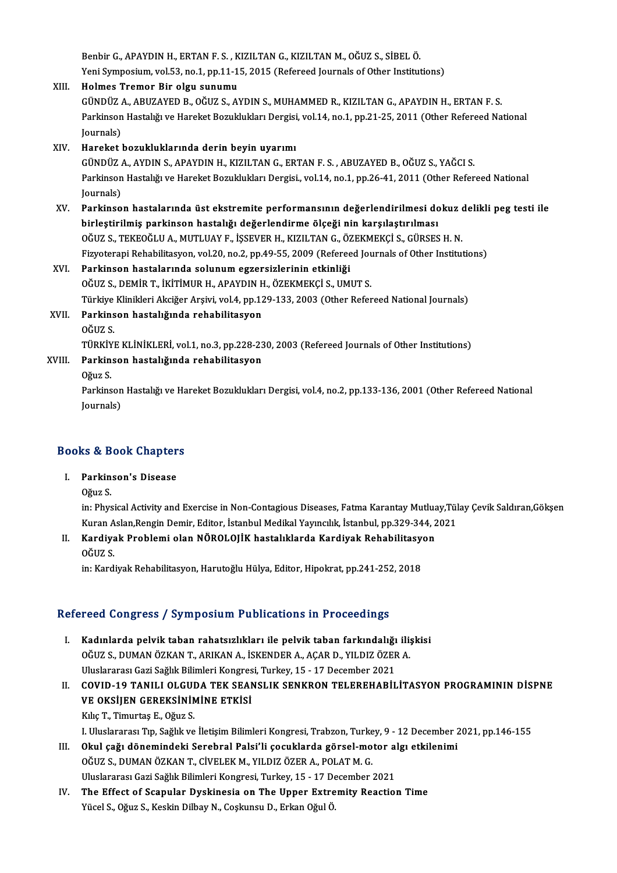Benbir G., APAYDIN H., ERTAN F. S. , KIZILTAN G., KIZILTAN M., OĞUZ S., SİBEL Ö.<br>Yani Sumnasiyun vel 53, no.1, nn 11,15, 2015 (Refereed Jayrnals of Other Institut Benbir G., APAYDIN H., ERTAN F. S. , KIZILTAN G., KIZILTAN M., OĞUZ S., SİBEL Ö.<br>Yeni Symposium, vol.53, no.1, pp.11-15, 2015 (Refereed Journals of Other Institutions)<br>Helmes Tremer Bir elsy sunumu. Benbir G., APAYDIN H., ERTAN F. S., K<br>Yeni Symposium, vol.53, no.1, pp.11-1<br>XIII. Holmes Tremor Bir olgu sunumu

## Yeni Symposium, vol.53, no.1, pp.11-15, 2015 (Refereed Journals of Other Institutions)<br>Holmes Tremor Bir olgu sunumu<br>GÜNDÜZ A., ABUZAYED B., OĞUZ S., AYDIN S., MUHAMMED R., KIZILTAN G., APAYDIN H., ERTAN F. S.<br>Parkingon Ha Holmes Tremor Bir olgu sunumu<br>GÜNDÜZ A., ABUZAYED B., OĞUZ S., AYDIN S., MUHAMMED R., KIZILTAN G., APAYDIN H., ERTAN F. S.<br>Parkinson Hastalığı ve Hareket Bozuklukları Dergisi, vol.14, no.1, pp.21-25, 2011 (Other Refereed N GÜNDÜZ<br>Parkinson<br>Journals)<br>Harekat l

XIV. Hareket bozukluklarında derin beyin uyarımı Journals)<br>Hareket bozukluklarında derin beyin uyarımı<br>GÜNDÜZ A., AYDIN S., APAYDIN H., KIZILTAN G., ERTAN F. S. , ABUZAYED B., OĞUZ S., YAĞCI S.<br>Parkinson Hastalığı ve Hareket Bozuklukları Dergisi, vel 14, no 1, np 26,41,2 Parkinson Hastalığı ve Hareket Bozuklukları Dergisi., vol.14, no.1, pp.26-41, 2011 (Other Refereed National Journals) GÜNDÜZ<br>Parkinson<br>Journals)<br>Parkinso Parkinson Hastalığı ve Hareket Bozuklukları Dergisi., vol.14, no.1, pp.26-41, 2011 (Other Refereed National<br>Journals)<br>XV. Parkinson hastalarında üst ekstremite performansının değerlendirilmesi dokuz delikli peg testi ile<br>h

Journals)<br>Parkinson hastalarında üst ekstremite performansının değerlendirilmesi do<br>birleştirilmiş parkinson hastalığı değerlendirme ölçeği nin karşılaştırılması<br>Qğuz s. TEVEQğul A. MUTUJAV E. İSSEVER H. VIZU TAN G. ÖZEVME Parkinson hastalarında üst ekstremite performansının değerlendirilmesi dokuz oldu.<br>Dirleştirilmiş parkinson hastalığı değerlendirme ölçeği nin karşılaştırılması<br>OĞUZ S., TEKEOĞLU A., MUTLUAY F., İŞSEVER H., KIZILTAN G., ÖZ birleştirilmiş parkinson hastalığı değerlendirme ölçeği nin karşılaştırılması<br>OĞUZ S., TEKEOĞLU A., MUTLUAY F., İŞSEVER H., KIZILTAN G., ÖZEKMEKÇİ S., GÜRSES H. N.<br>Fizyoterapi Rehabilitasyon, vol.20, no.2, pp.49-55, 2009 ( OĞUZ S., TEKEOĞLU A., MUTLUAY F., İŞSEVER H., KIZILTAN G., ÖZEKMEKÇİ S., GÜRSES H. N.<br>Fizyoterapi Rehabilitasyon, vol.20, no.2, pp.49-55, 2009 (Refereed Journals of Other Institut<br>XVI. Parkinson hastalarında solunum egzers

# Fizyoterapi Rehabilitasyon, vol.20, no.2, pp.49-55, 2009 (Refereed Jou<br>Parkinson hastalarında solunum egzersizlerinin etkinliği<br>OĞUZ S., DEMİR T., İKİTİMUR H., APAYDIN H., ÖZEKMEKÇİ S., UMUT S.<br>Türkiye Klinikleri Akilğar A Parkinson hastalarında solunum egzersizlerinin etkinliği<br>OĞUZ S., DEMİR T., İKİTİMUR H., APAYDIN H., ÖZEKMEKÇİ S., UMUT S.<br>Türkiye Klinikleri Akciğer Arşivi, vol.4, pp.129-133, 2003 (Other Refereed National Journals)<br>Parki

XVII. Parkinson hastalığında rehabilitasyon<br>OĞUZ S. Türkiye<br><mark>Parkins</mark><br>OĞUZ S.<br>Tüp*v*iyı Parkinson hastalığında rehabilitasyon<br>OĞUZ S.<br>TÜRKİYE KLİNİKLERİ, vol.1, no.3, pp.228-230, 2003 (Refereed Journals of Other Institutions)<br>Parkinson hastalığında rehabilitasyon

## XVIII. Parkinson hastalığında rehabilitasyon<br>Oğuz S. TÜRKİY<br><mark>Parkin</mark><br>Oğuz S.<br><sup>Parkins</sup>

Parkinson hastalığında rehabilitasyon<br>Oğuz S.<br>Parkinson Hastalığı ve Hareket Bozuklukları Dergisi, vol.4, no.2, pp.133-136, 2001 (Other Refereed National<br>Journals) Oğuz S.<br>Parkinson<br>Journals)

# <sub>Journais)</sub><br>Books & Book Chapters ooks & Book Chapter<br>I. Parkinson's Disease<br>O<sup>o</sup>vy S

I. Parkinson's Disease<br>Oğuz S.

Parkinson's Disease<br>Oğuz S.<br>in: Physical Activity and Exercise in Non-Contagious Diseases, Fatma Karantay Mutluay,Tülay Çevik Saldıran,Gökşen<br>Kuran Aslan Rangin Demin Editor, İstanbul Medikal Yayıngılık, İstanbul an 220,24 Oğuz S.<br>in: Physical Activity and Exercise in Non-Contagious Diseases, Fatma Karantay Mutluay,Tül<br>Kuran Aslan,Rengin Demir, Editor, İstanbul Medikal Yayıncılık, İstanbul, pp.329-344, 2021<br>Kandiyak Prehlemi olan NÖPOLOUK ha Kuran Aslan, Rengin Demir, Editor, İstanbul Medikal Yayıncılık, İstanbul, pp.329-344, 2021

II. Kardiyak Problemi olan NÖROLOJİK hastalıklarda Kardiyak Rehabilitasyon<br>OĞUZ S.

in: Kardiyak Rehabilitasyon, Harutoğlu Hülya, Editor, Hipokrat, pp.241-252, 2018

## Refereed Congress / Symposium Publications in Proceedings

- efereed Congress / Symposium Publications in Proceedings<br>I. Kadınlarda pelvik taban rahatsızlıkları ile pelvik taban farkındalığı ilişkisi<br>Oğuz S. DUMAN ÖZKAN T. ARIKAN A. İSKENDER A. ACAR D. VU DIZ ÖZER A. OĞUZ SƏNGI SƏS 7-53 MIPOSIUM I USHGUCISI IN I FOCOGUNGO<br>Kadınlarda pelvik taban rahatsızlıkları ile pelvik taban farkındalığı ili;<br>OĞUZ S., DUMAN ÖZKAN T., ARIKAN A., İSKENDER A., AÇAR D., YILDIZ ÖZER A.<br>Uluslararası Cari Kadınlarda pelvik taban rahatsızlıkları ile pelvik taban farkındalığı<br>OĞUZ S., DUMAN ÖZKAN T., ARIKAN A., İSKENDER A., AÇAR D., YILDIZ ÖZEF<br>Uluslararası Gazi Sağlık Bilimleri Kongresi, Turkey, 15 - 17 December 2021<br>COVID 1
- OĞUZ S., DUMAN ÖZKAN T., ARIKAN A., İSKENDER A., AÇAR D., YILDIZ ÖZER A.<br>Uluslararası Gazi Sağlık Bilimleri Kongresi, Turkey, 15 17 December 2021<br>II. COVID-19 TANILI OLGUDA TEK SEANSLIK SENKRON TELEREHABİLİTASYON PRO Uluslararası Gazi Sağlık Bilimleri Kongresi, Turkey, 15 - 17 December 2021<br>COVID-19 TANILI OLGUDA TEK SEANSLIK SENKRON TELEREHABİ!<br>VE OKSİJEN GEREKSİNİMİNE ETKİSİ<br>Kılıç T., Timurtaş E., Oğuz S. COVID-19 TANILI OLGUI<br>VE OKSIJEN GEREKSININ<br>Kılıç T., Timurtaş E., Oğuz S. VE OKSİJEN GEREKSİNİMİNE ETKİSİ<br>Kılıç T., Timurtaş E., Oğuz S.<br>I. Uluslararası Tıp, Sağlık ve İletişim Bilimleri Kongresi, Trabzon, Turkey, 9 - 12 December 2021, pp.146-155<br>Okul sağı dönemindeki Serebrel Belei'li sesuklerd
- Kılıç T., Timurtaş E., Oğuz S.<br>I. Uluslararası Tıp, Sağlık ve İletişim Bilimleri Kongresi, Trabzon, Turkey, 9 12 December 2<br>III. Okul çağı dönemindeki Serebral Palsi'li çocuklarda görsel-motor algı etkilenimi<br>Oğuz S. DUM I. Uluslararası Tıp, Sağlık ve İletişim Bilimleri Kongresi, Trabzon, Turke<br>Okul çağı dönemindeki Serebral Palsi'li çocuklarda görsel-mo<br>OĞUZ S., DUMAN ÖZKAN T., CİVELEK M., YILDIZ ÖZER A., POLAT M. G.<br>Uluslararası Cari Sağ III. Okul çağı dönemindeki Serebral Palsi'li çocuklarda görsel-motor algı etkilenimi<br>OĞUZ S., DUMAN ÖZKAN T., CİVELEK M., YILDIZ ÖZER A., POLAT M. G.<br>Uluslararası Gazi Sağlık Bilimleri Kongresi, Turkey, 15 - 17 December 20
- IV. The Effect of Scapular Dyskinesia on The Upper Extremity Reaction Time Yücel S., Oğuz S., Keskin Dilbay N., Coşkunsu D., Erkan Oğul Ö.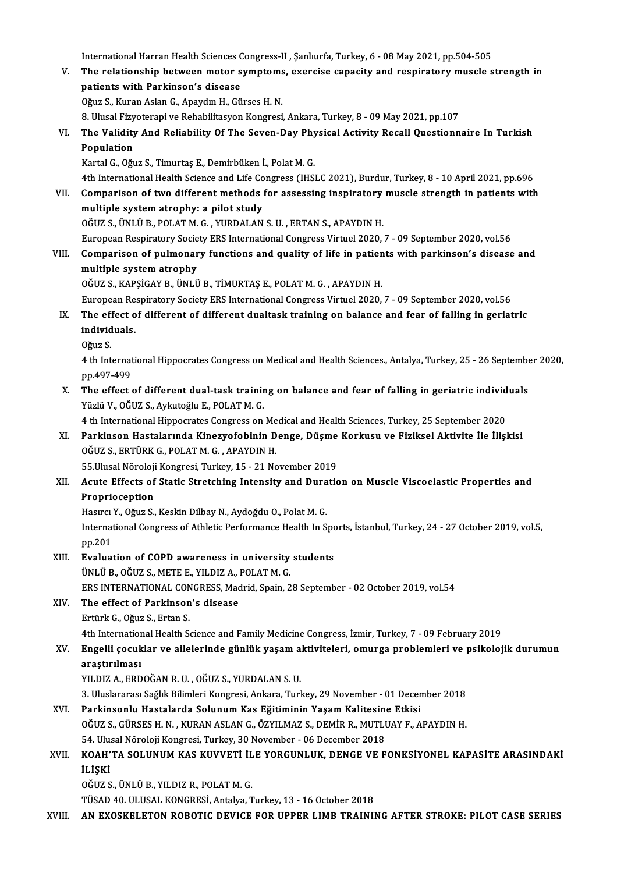International Harran Health Sciences Congress-II , Şanlıurfa, Turkey, 6 - 08 May 2021, pp.504-505<br>The relationship between moter sumptems, evensise sanasity and respirateny mussle s

V. The relationship between motor symptoms, exercise capacity and respiratory muscle strength in patients with Parkinson's disease International Harran Health Sciences (<br>The relationship between motor s<br>patients with Parkinson's disease patients with Parkinson's disease<br>Oğuz S., Kuran Aslan G., Apaydın H., Gürses H. N.<br>8. Ulusal Fizyoterapi ve Rehabilitasyon Kongresi, Ankara, Turkey, 8 - 09 May 2021, pp.107<br>The Validity And Poliability Of The Saven Day Ph

Oğuz S., Kuran Aslan G., Apaydın H., Gürses H.N.

Oğuz S., Kuran Aslan G., Apaydın H., Gürses H. N.<br>8. Ulusal Fizyoterapi ve Rehabilitasyon Kongresi, Ankara, Turkey, 8 - 09 May 2021, pp.107<br>1. The Validity And Reliability Of The Seven-Day Physical Activity Recall Question 8. Ulusal Fizy<br>The Validity<br>Population<br>Kartal G. Oğu The Validity And Reliability Of The Seven-Day Phy<br>Population<br>Kartal G., Oğuz S., Timurtaş E., Demirbüken İ., Polat M. G.<br>4th International Health Science and Life Congress (195) Population<br>Kartal G., Oğuz S., Timurtaş E., Demirbüken İ., Polat M. G.<br>4th International Health Science and Life Congress (IHSLC 2021), Burdur, Turkey, 8 - 10 April 2021, pp.696

Kartal G., Oğuz S., Timurtaş E., Demirbüken İ., Polat M. G.<br>4th International Health Science and Life Congress (IHSLC 2021), Burdur, Turkey, 8 - 10 April 2021, pp.696<br>VII. Comparison of two different methods for assessing 4th International Health Science and Life Co<br>Comparison of two different methods<br>multiple system atrophy: a pilot study<br>OČUZ S JINI Ü P POLATM C - VUPDALAN Comparison of two different methods for assessing inspiratory<br>multiple system atrophy: a pilot study<br>OĞUZ S., ÜNLÜ B., POLAT M. G. , YURDALAN S. U. , ERTAN S., APAYDIN H.<br>European Bespiratory Seciety EBS International Cong multiple system atrophy: a pilot study<br>OĞUZ S., ÜNLÜ B., POLAT M. G. , YURDALAN S. U. , ERTAN S., APAYDIN H.<br>European Respiratory Society ERS International Congress Virtuel 2020, 7 - 09 September 2020, vol.56

OĞUZ S., ÜNLÜ B., POLAT M. G. , YURDALAN S. U. , ERTAN S., APAYDIN H.<br>European Respiratory Society ERS International Congress Virtuel 2020, 7 - 09 September 2020, vol.56<br>VIII. Comparison of pulmonary functions and quality European Respiratory Socie<br>Comparison of pulmonar<br>multiple system atrophy<br>Očuz s. KARSİCAN R. ÜNLÜ Comparison of pulmonary functions and quality of life in patien<br>multiple system atrophy<br>OĞUZ S., KAPŞİGAY B., ÜNLÜ B., TİMURTAŞ E., POLAT M. G. , APAYDIN H.<br>European Bespiratory Secisty EBS International Congress Virtual 2 multiple system atrophy<br>OĞUZ S., KAPŞİGAY B., ÜNLÜ B., TİMURTAŞ E., POLAT M. G. , APAYDIN H.<br>European Respiratory Society ERS International Congress Virtuel 2020, 7 - 09 September 2020, vol.56<br>The effect of different of di

## OĞUZ S., KAPŞİGAY B., ÜNLÜ B., TİMURTAŞ E., POLAT M. G. , APAYDIN H.<br>European Respiratory Society ERS International Congress Virtuel 2020, 7 - 09 September 2020, vol.56<br>IX. The effect of different of different dualtask tra European Re<br>The effect o<br>individuals. The eff<br>individ<br>Oğuz S.<br>4 th Int

individuals.<br>Oğuz S.<br>4 th International Hippocrates Congress on Medical and Health Sciences., Antalya, Turkey, 25 - 26 September 2020, Oğuz S.<br>4 th Internat<br>pp.497-499<br>The effect 4 th International Hippocrates Congress on Medical and Health Sciences., Antalya, Turkey, 25 - 26 September pp.497-499<br>The effect of different dual-task training on balance and fear of falling in geriatric individuals<br>Vigl

pp.497-499<br>The effect of different dual-task trainir<br>Yüzlü V., OĞUZ S., Aykutoğlu E., POLAT M. G.<br>4 th International Hinnesrates Consress on The effect of different dual-task training on balance and fear of falling in geriatric individ<br>Yüzlü V., OĞUZ S., Aykutoğlu E., POLAT M. G.<br>4 th International Hippocrates Congress on Medical and Health Sciences, Turkey, 25

Yüzlü V., OĞUZ S., Aykutoğlu E., POLAT M. G.<br>4 th International Hippocrates Congress on Medical and Health Sciences, Turkey, 25 September 2020<br>8 N. – Parkinson Hastalarında Kinezyofobinin Denge, Düşme Korkusu ve Fiziksel A 4 th International Hippocrates Congress on Me<br>Parkinson Hastalarında Kinezyofobinin D<br>OĞUZ S., ERTÜRK G., POLAT M. G. , APAYDIN H.<br>EE Illueal Närolaji Kongresi Turkey, 15 – 21 Ne Parkinson Hastalarında Kinezyofobinin Denge, Düşme<br>OĞUZ S., ERTÜRK G., POLAT M. G. , APAYDIN H.<br>55.Ulusal Nöroloji Kongresi, Turkey, 15 - 21 November 2019<br>Agute Effects of Static Stratching Intensity and Duratic

## OĞUZ S., ERTÜRK G., POLAT M. G. , APAYDIN H.<br>55.Ulusal Nöroloji Kongresi, Turkey, 15 - 21 November 2019<br>XII. Acute Effects of Static Stretching Intensity and Duration on Muscle Viscoelastic Properties and<br>Propriesentio 55.Ulusal Nöroloji<br>Acute Effects of<br>Proprioception<br>Hosura Y. Oğur S. Acute Effects of Static Stretching Intensity and Dura<br>Proprioception<br>Hasırcı Y., Oğuz S., Keskin Dilbay N., Aydoğdu O., Polat M. G.<br>International Congress of Athlatic Berformanes Health In S

Proprioception<br>Hasırcı Y., Oğuz S., Keskin Dilbay N., Aydoğdu O., Polat M. G.<br>International Congress of Athletic Performance Health In Sports, İstanbul, Turkey, 24 - 27 October 2019, vol.5, Hasirci<br>Internat<br>pp.201 International Congress of Athletic Performance Health In Spo<br>pp.201<br>XIII. Evaluation of COPD awareness in university students<br>UNIUE OCUZS METE E VU DIZA POLATM C

pp.201<br>Evaluation of COPD awareness in university<br>ÜNLÜ B., OĞUZ S., METE E., YILDIZ A., POLAT M. G.<br>ERS INTERNATIONAL CONCRESS Medrid Spein 2 Evaluation of COPD awareness in university students<br>ÜNLÜ B., OĞUZ S., METE E., YILDIZ A., POLAT M. G.<br>ERS INTERNATIONAL CONGRESS, Madrid, Spain, 28 September - 02 October 2019, vol.54<br>The effect of Porkinson's disease UNLU B., OGUZ S., METE E., YILDIZ A., J<br>ERS INTERNATIONAL CONGRESS, Mac<br>XIV. The effect of Parkinson's disease

ERS INTERNATIONAL CON<br>The effect of Parkinson<br>Ertürk G., Oğuz S., Ertan S.<br>4th International Health S.

The effect of Parkinson's disease<br>Ertürk G., Oğuz S., Ertan S.<br>4th International Health Science and Family Medicine Congress, İzmir, Turkey, 7 - 09 February 2019<br>Engelli secuklar ve ailelerinde günlük yaşam ektiyiteleri, e

## Ertürk G., Oğuz S., Ertan S.<br>4th International Health Science and Family Medicine Congress, İzmir, Turkey, 7 - 09 February 2019<br>2016 - Aractivilması<br>2016 - Aractivilması 4th Internation<br>Engelli çocuk<br>araştırılması<br>vu pız A-EPD Engelli çocuklar ve ailelerinde günlük yaşam a<br>araştırılması<br>YILDIZ A., ERDOĞAN R. U. , OĞUZ S., YURDALAN S. U.<br><sup>2. Hiuclararecı Seğlik Bilimlari Kongresi, Ankara Turl</sub></sup> <mark>araştırılması</mark><br>YILDIZ A., ERDOĞAN R. U. , OĞUZ S., YURDALAN S. U.<br>3. Uluslararası Sağlık Bilimleri Kongresi, Ankara, Turkey, 29 November - 01 December 2018<br>Parkinsonlu Hastalarda Solunum Kos Eğitiminin Yasam Kalitesine Et

YILDIZ A., ERDOĞAN R. U. , OĞUZ S., YURDALAN S. U.<br>3. Uluslararası Sağlık Bilimleri Kongresi, Ankara, Turkey, 29 November - 01 Decer<br>XVI. Parkinsonlu Hastalarda Solunum Kas Eğitiminin Yaşam Kalitesine Etkisi<br>OĞUZ S. CÜ 3. Uluslararası Sağlık Bilimleri Kongresi, Ankara, Turkey, 29 November - 01 December 2018<br>Parkinsonlu Hastalarda Solunum Kas Eğitiminin Yaşam Kalitesine Etkisi<br>OĞUZ S., GÜRSES H. N. , KURAN ASLAN G., ÖZYILMAZ S., DEMİR R., Parkinsonlu Hastalarda Solunum Kas Eğitiminin Yaşam Kalitesin<br>OĞUZ S., GÜRSES H. N. , KURAN ASLAN G., ÖZYILMAZ S., DEMİR R., MUTLI<br>54. Ulusal Nöroloji Kongresi, Turkey, 30 November - 06 December 2018<br>KOAH'TA SOLUNUM KAS KU OĞUZ S., GÜRSES H. N. , KURAN ASLAN G., ÖZYILMAZ S., DEMİR R., MUTLUAY F., APAYDIN H.<br>54. Ulusal Nöroloji Kongresi, Turkey, 30 November - 06 December 2018<br>XVII. KOAH'TA SOLUNUM KAS KUVVETİ İLE YORGUNLUK, DENGE VE FONKS

## 54. Ulu:<br>KOAH'<br>İLİŞKİ<br>OČUZ S KOAH'TA SOLUNUM KAS KUVVETİ İL<br>İLİŞKİ<br>OĞUZ S., ÜNLÜ B., YILDIZ R., POLAT M. G.<br>TÜSAD 40 ULUSAL KONGRESİ ARRIYA T **İLİŞKİ**<br>OĞUZ S., ÜNLÜ B., YILDIZ R., POLAT M. G.<br>TÜSAD 40. ULUSAL KONGRESİ, Antalya, Turkey, 13 - 16 October 2018

XVIII. AN EXOSKELETON ROBOTIC DEVICE FOR UPPER LIMB TRAINING AFTER STROKE: PILOT CASE SERIES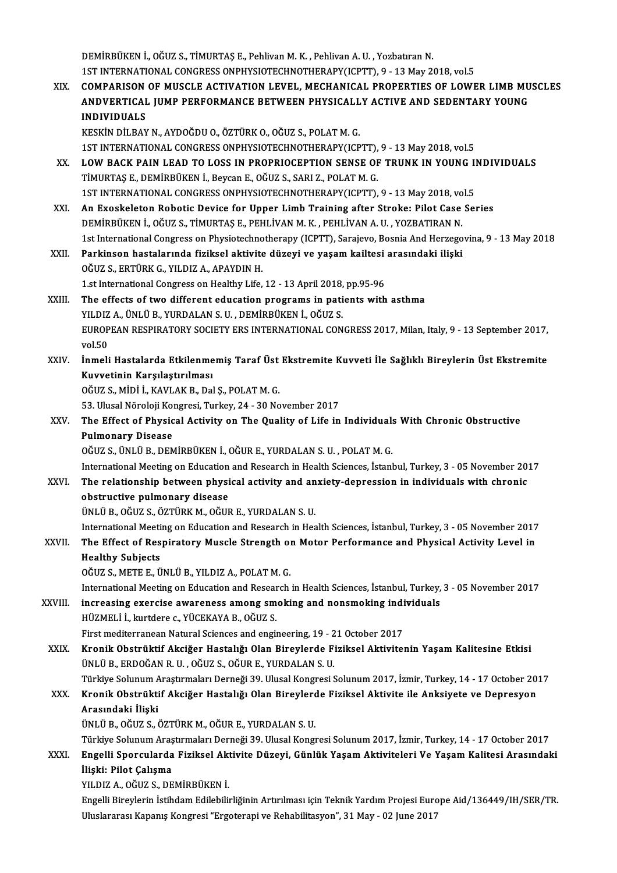DEMİRBÜKEN İ., OĞUZ S., TİMURTAŞ E., Pehlivan M. K., Pehlivan A. U., Yozbatıran N. 1STINTERNATIONAL CONGRESSONPHYSIOTECHNOTHERAPY(ICPTT),9 -13May2018,vol.5 DEMIRBÜKEN İ., OĞUZ S., TİMURTAŞ E., Pehlivan M. K. , Pehlivan A. U. , Yozbatıran N.<br>1ST INTERNATIONAL CONGRESS ONPHYSIOTECHNOTHERAPY(ICPTT), 9 - 13 May 2018, vol.5<br>XIX. COMPARISON OF MUSCLE ACTIVATION LEVEL, MECHANICA

1ST INTERNATIONAL CONGRESS ONPHYSIOTECHNOTHERAPY(ICPTT), 9 - 13 May 2018, vol.5<br>COMPARISON OF MUSCLE ACTIVATION LEVEL, MECHANICAL PROPERTIES OF LOWER LIMB MU<br>ANDVERTICAL JUMP PERFORMANCE BETWEEN PHYSICALLY ACTIVE AND SEDEN COMPARISON<br>ANDVERTICAL<br>INDIVIDUALS<br>ERSEEN DILBAV ANDVERTICAL JUMP PERFORMANCE BETWEEN PHYSICALLY ACTIVE AND SEDENTARY YOUNG<br>INDIVIDUALS<br>KESKİN DİLBAY N., AYDOĞDU O., ÖZTÜRK O., OĞUZ S., POLAT M. G.

INDIVIDUALS<br>KESKİN DİLBAY N., AYDOĞDU O., ÖZTÜRK O., OĞUZ S., POLAT M. G.<br>1ST INTERNATIONAL CONGRESS ONPHYSIOTECHNOTHERAPY(ICPTT), 9 - 13 May 2018, vol.5<br>1 OW BACK BAIN LEAD TO LOSS IN BROBBIOCEPTION SENSE OF TRUNK IN YOUN

- KESKÍN DÍLBAY N., AYDOĞDU O., ÖZTÜRK O., OĞUZ S., POLAT M. G.<br>1ST INTERNATIONAL CONGRESS ONPHYSIOTECHNOTHERAPY(ICPTT), 9 13 May 2018, vol.5<br>XX. LOW BACK PAIN LEAD TO LOSS IN PROPRIOCEPTION SENSE OF TRUNK IN YOUNG INDIVID 1ST INTERNATIONAL CONGRESS ONPHYSIOTECHNOTHERAPY(ICPTT),<br>LOW BACK PAIN LEAD TO LOSS IN PROPRIOCEPTION SENSE OF<br>TİMURTAŞ E., DEMİRBÜKEN İ., Beycan E., OĞUZ S., SARI Z., POLAT M. G.<br>1ST INTERNATIONAL CONCRESS ONRUYSIOTECUNOT LOW BACK PAIN LEAD TO LOSS IN PROPRIOCEPTION SENSE OF TRUNK IN YOUNG II<br>TIMURTAŞ E., DEMIRBÜKEN İ., Beycan E., OĞUZ S., SARI Z., POLAT M. G.<br>1ST INTERNATIONAL CONGRESS ONPHYSIOTECHNOTHERAPY(ICPTT), 9 - 13 May 2018, vol.5<br>A TİMURTAŞ E., DEMİRBÜKEN İ., Beycan E., OĞUZ S., SARI Z., POLAT M. G.<br>1ST INTERNATIONAL CONGRESS ONPHYSIOTECHNOTHERAPY(ICPTT), 9 - 13 May 2018, vol.5<br>XXI. An Exoskeleton Robotic Device for Upper Limb Training after Stro 1ST INTERNATIONAL CONGRESS ONPHYSIOTECHNOTHERAPY(ICPTT), 9 - 13 May 2018, vol.5
- 1st International Congress on Physiotechnotherapy (ICPTT), Sarajevo, Bosnia And Herzegovina, 9 13 May 2018 DEMİRBÜKEN İ., OĞUZ S., TİMURTAŞ E., PEHLİVAN M. K. , PEHLİVAN A. U. , YOZBATIRAN N.<br>1st International Congress on Physiotechnotherapy (ICPTT), Sarajevo, Bosnia And Herzego<br>XXII. Parkinson hastalarında fiziksel aktivite dü
- 1st International Congress on Physiotechno<br>Parkinson hastalarında fiziksel aktivite<br>OĞUZ S., ERTÜRK G., YILDIZ A., APAYDIN H.<br>1 et International Congress on Healthy Life. Parkinson hastalarında fiziksel aktivite düzeyi ve yaşam kailtesi<br>OĞUZ S., ERTÜRK G., YILDIZ A., APAYDIN H.<br>1.st International Congress on Healthy Life, 12 - 13 April 2018, pp.95-96<br>The effects of two different education p OĞUZ S., ERTÜRK G., YILDIZ A., APAYDIN H.<br>1.st International Congress on Healthy Life, 12 - 13 April 2018, pp.95-96<br>XXIII. The effects of two different education programs in patients with asthma<br>VILDIZ A. ÜNI Ü B. VURDALAN
- 1.st International Congress on Healthy Life, 12 13 April 2018,<br>The effects of two different education programs in pati<br>YILDIZ A., ÜNLÜ B., YURDALAN S. U. , DEMİRBÜKEN İ., OĞUZ S.<br>FUROPEAN PESPIRATORY SOCIETY ERS INTERNAT The effects of two different education programs in patients with asthma<br>YILDIZ A., ÜNLÜ B., YURDALAN S. U. , DEMİRBÜKEN İ., OĞUZ S.<br>EUROPEAN RESPIRATORY SOCIETY ERS INTERNATIONAL CONGRESS 2017, Milan, Italy, 9 - 13 Septemb YILDIZ A., ÜNLÜ B., YURDALAN S. U. , DEMİRBÜKEN İ., OĞUZ S.<br>EUROPEAN RESPIRATORY SOCIETY ERS INTERNATIONAL CON<br>vol.50 EUROPEAN RESPIRATORY SOCIETY ERS INTERNATIONAL CONGRESS 2017, Milan, Italy, 9 - 13 September 2017,<br>vol.50<br>XXIV. İnmeli Hastalarda Etkilenmemiş Taraf Üst Ekstremite Kuvveti İle Sağlıklı Bireylerin Üst Ekstremite<br>Kuvvetinin
- İnmeli Hastalarda Etkilenmemiş Taraf Üst Ekstremite Kuvveti İle Sağlıklı Bireylerin Üst Ekstremite<br>Kuvvetinin Karşılaştırılması Kuvvetinin Karşılaştırılması<br>OĞUZ S., MİDİ İ., KAVLAK B., Dal Ş., POLAT M. G.<br>53. Ulusal Nöroloji Kongresi, Turkey, 24 - 30 November 2017<br>The Effect of Physical Activity on The Quality of Life in

OĞUZ S.,MİDİ İ.,KAVLAKB.,DalŞ.,POLATM.G.

OĞUZ S., MİDİ İ., KAVLAK B., Dal Ş., POLAT M. G.<br>53. Ulusal Nöroloji Kongresi, Turkey, 24 - 30 November 2017<br>XXV. The Effect of Physical Activity on The Quality of Life in Individuals With Chronic Obstructive<br>Pulmanary 53. Ulusal Nöroloji Kor<br>The Effect of Physic<br>Pulmonary Disease<br>Očuz s. ÜNLÜ P. DEN The Effect of Physical Activity on The Quality of Life in Individual:<br>Pulmonary Disease<br>OĞUZ S., ÜNLÜ B., DEMİRBÜKEN İ., OĞUR E., YURDALAN S. U. , POLAT M. G.<br>International Meeting on Education and Bessarsh in Heelth Scien Pulmonary Disease<br>OĞUZ S., ÜNLÜ B., DEMİRBÜKEN İ., OĞUR E., YURDALAN S. U. , POLAT M. G.<br>International Meeting on Education and Research in Health Sciences, İstanbul, Turkey, 3 - 05 November 2017

## OĞUZ S., ÜNLÜ B., DEMİRBÜKEN İ., OĞUR E., YURDALAN S. U. , POLAT M. G.<br>International Meeting on Education and Research in Health Sciences, İstanbul, Turkey, 3 - 05 November 20<br>XXVI. The relationship between physical activi International Meeting on Education<br>The relationship between physi<br>obstructive pulmonary disease<br><sup>Thu the</sup> Očuzs Öztüpk M. Očur The relationship between physical activity and an<br>obstructive pulmonary disease<br>ÜNLÜ B., OĞUZ S., ÖZTÜRK M., OĞUR E., YURDALAN S. U.<br>International Meeting on Education and Bessensh in Hes obstructive pulmonary disease<br>ÜNLÜ B., OĞUZ S., ÖZTÜRK M., OĞUR E., YURDALAN S. U.<br>International Meeting on Education and Research in Health Sciences, İstanbul, Turkey, 3 - 05 November 2017<br>The Effect of Beeninatory Musele

## ÜNLÜ B., OĞUZ S., ÖZTÜRK M., OĞUR E., YURDALAN S. U.<br>International Meeting on Education and Research in Health Sciences, İstanbul, Turkey, 3 - 05 November 2017<br>XXVII. The Effect of Respiratory Muscle Strength on Motor International Meeti<br>The Effect of Res<br>Healthy Subjects<br>OČUZS METE E Ü

OĞUZ S.,METEE.,ÜNLÜB.,YILDIZA.,POLATM.G.

International Meeting on Education and Research in Health Sciences, İstanbul, Turkey, 3 - 05 November 2017

OĞUZ S., METE E., ÜNLÜ B., YILDIZ A., POLAT M. G.<br>International Meeting on Education and Research in Health Sciences, İstanbul, Turkey,<br>XXVIII. increasing exercise awareness among smoking and nonsmoking individuals<br>HIZMELL HÜZMELİ İ., kurtdere c., YÜCEKAYA B., OĞUZ S.<br>First mediterranean Natural Sciences and engineering, 19 - 21 October 2017 increasing exercise awareness among smoking and nonsmoking indi<br>HÜZMELİ İ., kurtdere c., YÜCEKAYA B., OĞUZ S.<br>First mediterranean Natural Sciences and engineering, 19 - 21 October 2017<br>Kronik Obstrüktif Aksiğer Hastalığı O

XXIX. Kronik Obstrüktif Akciğer Hastalığı Olan Bireylerde Fiziksel Aktivitenin Yaşam Kalitesine Etkisi ÜNLÜB.,ERDOĞANR.U. ,OĞUZ S.,OĞURE.,YURDALANS.U. Kronik Obstrüktif Akciğer Hastalığı Olan Bireylerde Fiziksel Aktivitenin Yaşam Kalitesine Etkisi<br>ÜNLÜ B., ERDOĞAN R. U. , OĞUZ S., OĞUR E., YURDALAN S. U.<br>Türkiye Solunum Araştırmaları Derneği 39. Ulusal Kongresi Solunum 2 ÜNLÜ B., ERDOĞAN R. U. , OĞUZ S., OĞUR E., YURDALAN S. U.<br>Türkiye Solunum Araştırmaları Derneği 39. Ulusal Kongresi Solunum 2017, İzmir, Turkey, 14 - 17 October 20<br>XXX. Kronik Obstrüktif Akciğer Hastalığı Olan Bireyler

## Türkiye Solunum *A*<br>Kronik Obstrükti<br>Arasındaki İlişki<br>ÜNLÜ P. QĞUZ S. é Kronik Obstrüktif Akciğer Hastalığı Olan Bireylerde Fiziksel Aktivite ile Anksiyete ve Depresyon<br>Arasındaki İlişki<br>ÜNLÜ B., OĞUZ S., ÖZTÜRK M., OĞUR E., YURDALAN S. U.

Türkiye SolunumAraştırmalarıDerneği39.UlusalKongresiSolunum2017, İzmir,Turkey,14 -17October 2017

ÜNLÜ B., OĞUZ S., ÖZTÜRK M., OĞUR E., YURDALAN S. U.<br>Türkiye Solunum Araştırmaları Derneği 39. Ulusal Kongresi Solunum 2017, İzmir, Turkey, 14 - 17 October 2017<br>XXXI. Engelli Sporcularda Fiziksel Aktivite Düzeyi, Günlü Türkiye Solunum Araş<br><mark>Engelli Sporcularda</mark><br>İlişki: Pilot Çalışma<br><sup>VII DIZ A. Q</sub>ğıız s. DE</sup> Engelli Sporcularda Fiziksel Akt<br>İlişki: Pilot Çalışma<br>YILDIZ A., OĞUZ S., DEMİRBÜKEN İ.<br>Engelli Birevlerin İstibdem Edilebili İlişki: Pilot Çalışma<br>YILDIZ A., OĞUZ S., DEMİRBÜKEN İ.<br>Engelli Bireylerin İstihdam Edilebilirliğinin Artırılması için Teknik Yardım Projesi Europe Aid/136449/IH/SER/TR.

Uluslararası Kapanış Kongresi "Ergoterapi ve Rehabilitasyon", 31 May - 02 June 2017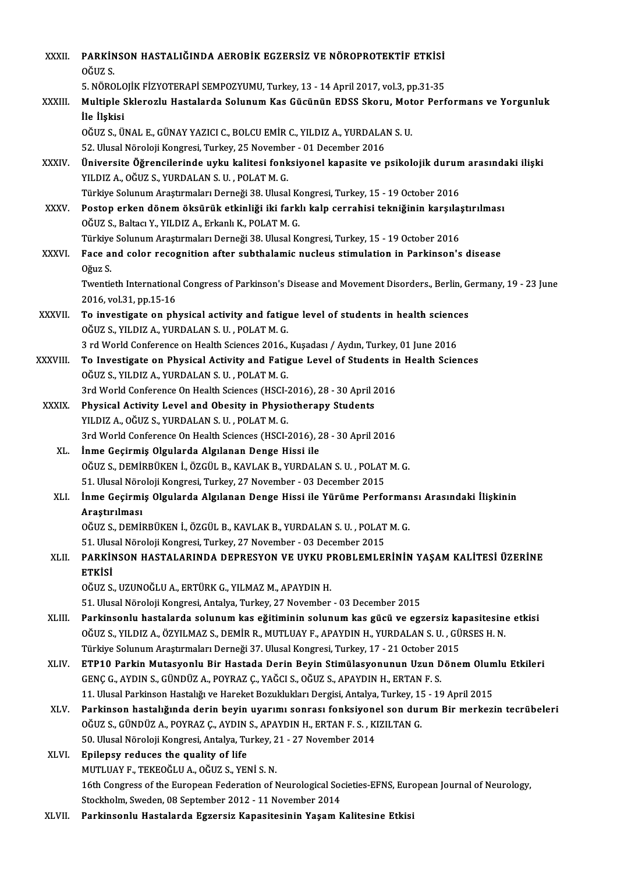| XXXII.       | PARKINSON HASTALIĞINDA AEROBİK EGZERSİZ VE NÖROPROTEKTİF ETKİSİ<br>OĞUZ S                                                                                                       |
|--------------|---------------------------------------------------------------------------------------------------------------------------------------------------------------------------------|
|              | 5. NÖROLOJİK FİZYOTERAPİ SEMPOZYUMU, Turkey, 13 - 14 April 2017, vol.3, pp.31-35                                                                                                |
| XXXIII.      | Multiple Sklerozlu Hastalarda Solunum Kas Gücünün EDSS Skoru, Motor Performans ve Yorgunluk                                                                                     |
|              | İle İlşkisi                                                                                                                                                                     |
|              | OĞUZ S., ÜNAL E., GÜNAY YAZICI C., BOLCU EMİR C., YILDIZ A., YURDALAN S. U.                                                                                                     |
|              | 52. Ulusal Nöroloji Kongresi, Turkey, 25 November - 01 December 2016                                                                                                            |
| XXXIV.       | Üniversite Öğrencilerinde uyku kalitesi fonksiyonel kapasite ve psikolojik durum arasındaki ilişki                                                                              |
|              | YILDIZ A., OĞUZ S., YURDALAN S. U., POLAT M. G.                                                                                                                                 |
|              | Türkiye Solunum Araştırmaları Derneği 38. Ulusal Kongresi, Turkey, 15 - 19 October 2016                                                                                         |
| XXXV.        | Postop erken dönem öksürük etkinliği iki farklı kalp cerrahisi tekniğinin karşılaştırılması                                                                                     |
|              | OĞUZ S., Baltacı Y., YILDIZ A., Erkanlı K., POLAT M. G.                                                                                                                         |
|              | Türkiye Solunum Araştırmaları Derneği 38. Ulusal Kongresi, Turkey, 15 - 19 October 2016                                                                                         |
| <b>XXXVI</b> | Face and color recognition after subthalamic nucleus stimulation in Parkinson's disease                                                                                         |
|              | Oğuz S                                                                                                                                                                          |
|              | Twentieth International Congress of Parkinson's Disease and Movement Disorders., Berlin, Germany, 19 - 23 June                                                                  |
|              | 2016, vol 31, pp 15-16                                                                                                                                                          |
| XXXVII.      | To investigate on physical activity and fatigue level of students in health sciences                                                                                            |
|              | OĞUZ S., YILDIZ A., YURDALAN S. U. , POLAT M. G.                                                                                                                                |
|              | 3 rd World Conference on Health Sciences 2016., Kușadası / Aydın, Turkey, 01 June 2016                                                                                          |
| XXXVIII.     | To Investigate on Physical Activity and Fatigue Level of Students in Health Sciences                                                                                            |
|              | OĞUZ S., YILDIZ A., YURDALAN S. U. , POLAT M. G.                                                                                                                                |
|              | 3rd World Conference On Health Sciences (HSCI-2016), 28 - 30 April 2016                                                                                                         |
| <b>XXXIX</b> | Physical Activity Level and Obesity in Physiotherapy Students                                                                                                                   |
|              | YILDIZ A., OĞUZ S., YURDALAN S. U., POLAT M. G.                                                                                                                                 |
|              | 3rd World Conference On Health Sciences (HSCI-2016), 28 - 30 April 2016                                                                                                         |
| XL.          | İnme Geçirmiş Olgularda Algılanan Denge Hissi ile                                                                                                                               |
|              | OĞUZ S., DEMİRBÜKEN İ., ÖZGÜL B., KAVLAK B., YURDALAN S. U. , POLAT M. G.                                                                                                       |
|              | 51. Ulusal Nöroloji Kongresi, Turkey, 27 November - 03 December 2015                                                                                                            |
| XLI.         | İnme Geçirmiş Olgularda Algılanan Denge Hissi ile Yürüme Performansı Arasındaki İlişkinin                                                                                       |
|              | Araştırılması                                                                                                                                                                   |
|              | OĞUZ S., DEMİRBÜKEN İ., ÖZGÜL B., KAVLAK B., YURDALAN S. U., POLAT M. G.                                                                                                        |
|              | 51. Ulusal Nöroloji Kongresi, Turkey, 27 November - 03 December 2015                                                                                                            |
| XLII.        | PARKINSON HASTALARINDA DEPRESYON VE UYKU PROBLEMLERININ YAŞAM KALITESI ÜZERINE                                                                                                  |
|              | ETKİSİ<br>OĞUZ S., UZUNOĞLU A., ERTÜRK G., YILMAZ M., APAYDIN H.                                                                                                                |
|              |                                                                                                                                                                                 |
| XLIII.       | 51. Ulusal Nöroloji Kongresi, Antalya, Turkey, 27 November - 03 December 2015<br>Parkinsonlu hastalarda solunum kas eğitiminin solunum kas gücü ve egzersiz kapasitesine etkisi |
|              | OĞUZ S., YILDIZ A., ÖZYILMAZ S., DEMİR R., MUTLUAY F., APAYDIN H., YURDALAN S. U. , GÜRSES H. N.                                                                                |
|              | Türkiye Solunum Araştırmaları Derneği 37. Ulusal Kongresi, Turkey, 17 - 21 October 2015                                                                                         |
| XLIV.        | ETP10 Parkin Mutasyonlu Bir Hastada Derin Beyin Stimülasyonunun Uzun Dönem Olumlu Etkileri                                                                                      |
|              | GENÇ G., AYDIN S., GÜNDÜZ A., POYRAZ Ç., YAĞCI S., OĞUZ S., APAYDIN H., ERTAN F. S.                                                                                             |
|              | 11. Ulusal Parkinson Hastalığı ve Hareket Bozuklukları Dergisi, Antalya, Turkey, 15 - 19 April 2015                                                                             |
| XLV.         | Parkinson hastalığında derin beyin uyarımı sonrası fonksiyonel son durum Bir merkezin tecrübeleri                                                                               |
|              | OĞUZ S., GÜNDÜZ A., POYRAZ Ç., AYDIN S., APAYDIN H., ERTAN F. S., KIZILTAN G.                                                                                                   |
|              | 50. Ulusal Nöroloji Kongresi, Antalya, Turkey, 21 - 27 November 2014                                                                                                            |
| XLVI.        | Epilepsy reduces the quality of life                                                                                                                                            |
|              | MUTLUAY F., TEKEOĞLU A., OĞUZ S., YENİ S. N.                                                                                                                                    |
|              | 16th Congress of the European Federation of Neurological Societies-EFNS, European Journal of Neurology,                                                                         |
|              | Stockholm, Sweden, 08 September 2012 - 11 November 2014                                                                                                                         |
| XLVII.       | Parkinsonlu Hastalarda Egzersiz Kapasitesinin Yaşam Kalitesine Etkisi                                                                                                           |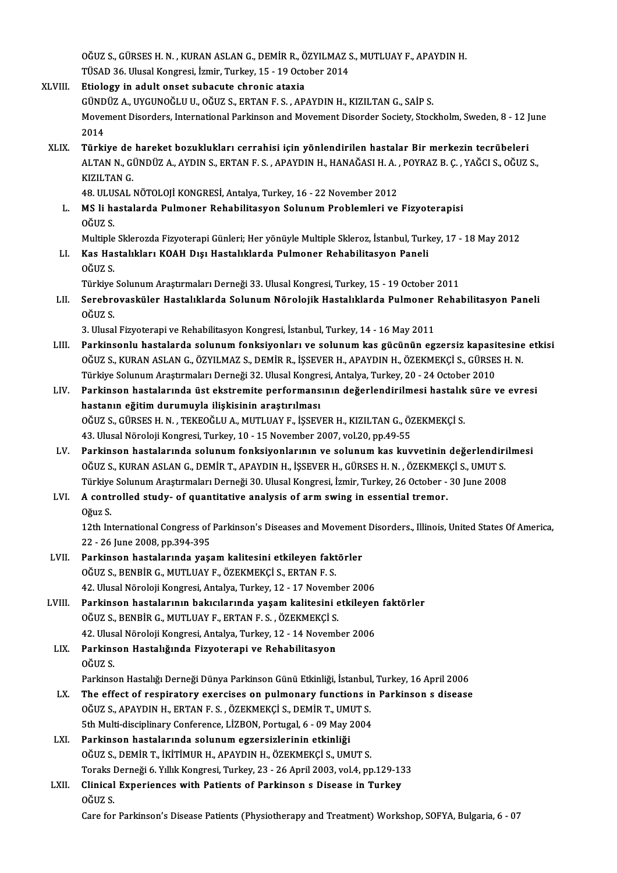OĞUZ S., GÜRSES H. N. , KURAN ASLAN G., DEMİR R., ÖZYILMAZ S., MUTLUAY F., APAYDIN H.<br>TÜSAD 36. Ulusel Kongresi, İsmir Turkey, 15., 19. Osteber 3014. OĞUZ S., GÜRSES H. N. , KURAN ASLAN G., DEMİR R., ÖZYILMAZ S.<br>TÜSAD 36. Ulusal Kongresi, İzmir, Turkey, 15 - 19 October 2014<br>Etiology in adult onast subasuta shranis atayia OĞUZ S., GÜRSES H. N. , KURAN ASLAN G., DEMİR R., Ö<br>TÜSAD 36. Ulusal Kongresi, İzmir, Turkey, 15 - 19 Octo<br>XLVIII. Etiology in adult onset subacute chronic ataxia<br>CÜNDÜZ A. UVCUNOĞU U. QĞUZ S. ERTAN E.S. AR

## TÜSAD 36. Ulusal Kongresi, İzmir, Turkey, 15 - 19 October 2014<br>Etiology in adult onset subacute chronic ataxia<br>GÜNDÜZ A., UYGUNOĞLU U., OĞUZ S., ERTAN F. S. , APAYDIN H., KIZILTAN G., SAİP S.<br>Mayamant Disandara Internation Etiology in adult onset subacute chronic ataxia<br>GÜNDÜZ A., UYGUNOĞLU U., OĞUZ S., ERTAN F. S. , APAYDIN H., KIZILTAN G., SAİP S.<br>Movement Disorders, International Parkinson and Movement Disorder Society, Stockholm, Sweden, GÜND<br>Mover<br>2014<br>Türki

XLIX. Türkiye de hareket bozuklukları cerrahisi için yönlendirilen hastalar Bir merkezin tecrübeleri 2014<br>Türkiye de hareket bozuklukları cerrahisi için yönlendirilen hastalar Bir merkezin tecrübeleri<br>ALTAN N., GÜNDÜZ A., AYDIN S., ERTAN F. S. , APAYDIN H., HANAĞASI H. A. , POYRAZ B. Ç. , YAĞCI S., OĞUZ S.,<br>KIZU TAN C Türkiye de<br>ALTAN N., GI<br>KIZILTAN G.<br>49. ULUSAL I ALTAN N., GÜNDÜZ A., AYDIN S., ERTAN F. S. , APAYDIN H., HANAĞASI H. A. ,<br>KIZILTAN G.<br>48. ULUSAL NÖTOLOJİ KONGRESİ, Antalya, Turkey, 16 - 22 November 2012<br>MS li hastalarda Bulmanar Bahabilitasyon Salunum Brahlamlari ve

48. ULUSAL NÖTOLOJİ KONGRESİ, Antalya, Turkey, 16 - 22 November 2012

KIZILTAN G.<br>48. ULUSAL NÖTOLOJİ KONGRESİ, Antalya, Turkey, 16 - 22 November 2012<br>L. MS li hastalarda Pulmoner Rehabilitasyon Solunum Problemleri ve Fizyoterapisi<br>OĞUZ S.

Multiple Sklerozda Fizyoterapi Günleri; Her yönüyle Multiple Skleroz, İstanbul, Turkey, 17 - 18 May 2012

OĞUZ S.<br>Multiple Sklerozda Fizyoterapi Günleri; Her yönüyle Multiple Skleroz, İstanbul, Turk<br>LI. Kas Hastalıkları KOAH Dışı Hastalıklarda Pulmoner Rehabilitasyon Paneli<br>Oğuz s Multiple<br>Kas Ha:<br>OĞUZ S. Kas Hastalıkları KOAH Dışı Hastalıklarda Pulmoner Rehabilitasyon Paneli<br>OĞUZ S.<br>Türkiye Solunum Araştırmaları Derneği 33. Ulusal Kongresi, Turkey, 15 - 19 October 2011<br>Serehneyesküler Hastalıklarda Solunum Nöreleğik Hastal

## OĞUZ S.<br>Türkiye Solunum Araştırmaları Derneği 33. Ulusal Kongresi, Turkey, 15 - 19 October 2011<br>LII. Serebrovasküler Hastalıklarda Solunum Nörolojik Hastalıklarda Pulmoner Rehabilitasyon Paneli<br>OĞUZ S Türkiye<br>S<mark>erebr</mark>o<br>OĞUZ S. Serebrovasküler Hastalıklarda Solunum Nörolojik Hastalıklarda Pulmoner<br>OĞUZ S.<br>3. Ulusal Fizyoterapi ve Rehabilitasyon Kongresi, İstanbul, Turkey, 14 - 16 May 2011<br>Perkinsonlu bastalarda solunum fonksiyonları ve solunum ka

- OĞUZ S.<br>3. Ulusal Fizyoterapi ve Rehabilitasyon Kongresi, İstanbul, Turkey, 14 16 May 2011<br>1. Parkinsonlu hastalarda solunum fonksiyonları ve solunum kas gücünün egzersiz kapasitesine etkisi<br>1. OĞUZ S. KURAN ASLAN G. ÖZV 3. Ulusal Fizyoterapi ve Rehabilitasyon Kongresi, İstanbul, Turkey, 14 - 16 May 2011<br>Parkinsonlu hastalarda solunum fonksiyonları ve solunum kas gücünün egzersiz kapasitesine<br>OĞUZ S., KURAN ASLAN G., ÖZYILMAZ S., DEMİR R., Parkinsonlu hastalarda solunum fonksiyonları ve solunum kas gücünün egzersiz kapasi<br>OĞUZ S., KURAN ASLAN G., ÖZYILMAZ S., DEMİR R., İŞSEVER H., APAYDIN H., ÖZEKMEKÇİ S., GÜRSE:<br>Türkiye Solunum Araştırmaları Derneği 32. Ulu OĞUZ S., KURAN ASLAN G., ÖZYILMAZ S., DEMİR R., İŞSEVER H., APAYDIN H., ÖZEKMEKÇİ S., GÜRSES H. N.<br>Türkiye Solunum Araştırmaları Derneği 32. Ulusal Kongresi, Antalya, Turkey, 20 - 24 October 2010<br>LIV. Parkinson hastalarınd
- Türkiye Solunum Araştırmaları Derneği 32. Ulusal Kongre<br>Parkinson hastalarında üst ekstremite performans<br>hastanın eğitim durumuyla ilişkisinin araştırılması<br>Oğuz s. Cüpses u.N., Tekeoği u.A. MUTUNAR, İSSEV Parkinson hastalarında üst ekstremite performansının değerlendirilmesi hastalık<br>hastanın eğitim durumuyla ilişkisinin araştırılması<br>OĞUZ S., GÜRSES H. N. , TEKEOĞLU A., MUTLUAY F., İŞSEVER H., KIZILTAN G., ÖZEKMEKÇİ S.<br>42 hastanın eğitim durumuyla ilişkisinin araştırılması<br>OĞUZ S., GÜRSES H. N. , TEKEOĞLU A., MUTLUAY F., İŞSEVER H., KIZILTAN G., ÖZEKMEKÇİ S.<br>43. Ulusal Nöroloji Kongresi, Turkey, 10 - 15 November 2007, vol.20, pp.49-55 OĞUZ S., GÜRSES H. N. , TEKEOĞLU A., MUTLUAY F., İŞSEVER H., KIZILTAN G., ÖZEKMEKÇİ S.<br>43. Ulusal Nöroloji Kongresi, Turkey, 10 - 15 November 2007, vol.20, pp.49-55<br>LV. Parkinson hastalarında solunum fonksiyonlarının v
- 43. Ulusal Nöroloji Kongresi, Turkey, 10 15 November 2007, vol.20, pp.49-55<br>Parkinson hastalarında solunum fonksiyonlarının ve solunum kas kuvvetinin değerlendiri<br>OĞUZ S., KURAN ASLAN G., DEMİR T., APAYDIN H., İŞSEVER H. Parkinson hastalarında solunum fonksiyonlarının ve solunum kas kuvvetinin değerlendiri<br>OĞUZ S., KURAN ASLAN G., DEMİR T., APAYDIN H., İŞSEVER H., GÜRSES H. N. , ÖZEKMEKÇİ S., UMUT S.<br>Türkiye Solunum Araştırmaları Derneği 3 OĞUZ S., KURAN ASLAN G., DEMİR T., APAYDIN H., İŞSEVER H., GÜRSES H. N. , ÖZEKMEK<br>Türkiye Solunum Araştırmaları Derneği 30. Ulusal Kongresi, İzmir, Turkey, 26 October -<br>LVI. A controlled study- of quantitative analysis of

# Türkiye<br>**A cont**:<br>Oğuz S.<br>12th In:

12th International Study- of quantitative analysis of arm swing in essential tremor.<br>Oğuz S.<br>12th International Congress of Parkinson's Diseases and Movement Disorders., Illinois, United States Of America, Oğuz S.<br>12th International Congress of<br>22 - 26 June 2008, pp.394-395<br>Perkinsen bestalarında vess 12th International Congress of Parkinson's Diseases and Movement<br>22 - 26 June 2008, pp.394-395<br>LVII. Parkinson hastalarında yaşam kalitesini etkileyen faktörler<br>20017 S. BENBİR G. MUTUJAVE, ÖZEKMEKÇİ S. ERTAN E.S.

- 22 26 June 2008, pp.394-395<br>Parkinson hastalarında yaşam kalitesini etkileyen faktörler<br>OĞUZ S., BENBİR G., MUTLUAY F., ÖZEKMEKÇİ S., ERTAN F. S. 42. Ulusal Nöroloji Kongresi, Antalya, Turkey, 12 - 17 November 2006
- LVIII. Parkinson hastalarının bakıcılarında yaşam kalitesini etkileyen faktörler 42. Ulusal Nöroloji Kongresi, Antalya, Turkey, 12 - 17 Novemb<br>Parkinson hastalarının bakıcılarında yaşam kalitesini e<br>OĞUZ S., BENBİR G., MUTLUAY F., ERTAN F. S. , ÖZEKMEKÇİ S.<br>42. Ulusal Nöroloji Kongresi, Antalya Turkey, Parkinson hastalarının bakıcılarında yaşam kalitesini etkileyen<br>OĞUZ S., BENBİR G., MUTLUAY F., ERTAN F. S. , ÖZEKMEKÇİ S.<br>42. Ulusal Nöroloji Kongresi, Antalya, Turkey, 12 - 14 November 2006<br>Parkinson Hastalığında Eigyete OĞUZ S., BENBİR G., MUTLUAY F., ERTAN F. S. , ÖZEKMEKÇİ S.<br>42. Ulusal Nöroloji Kongresi, Antalya, Turkey, 12 - 14 Novem<br>LIX. Parkinson Hastalığında Fizyoterapi ve Rehabilitasyon<br>OĞUZ S
	- 42. Ulusal Nöroloji Kongresi, Antalya, Turkey, 12 14 November 2006<br>LIX. Parkinson Hastalığında Fizyoterapi ve Rehabilitasyon<br>OĞUZ S. Parkinson Hastalığında Fizyoterapi ve Rehabilitasyon<br>OĞUZ S.<br>Parkinson Hastalığı Derneği Dünya Parkinson Günü Etkinliği, İstanbul, Turkey, 16 April 2006<br>The effect of respiratory exercises en pulmeneny functions in Perkins

- OĞUZ S.<br>Parkinson Hastalığı Derneği Dünya Parkinson Günü Etkinliği, İstanbul, Turkey, 16 April 2006<br>LX. The effect of respiratory exercises on pulmonary functions in Parkinson s disease<br>OĞUZ S. ARAYDIN H. ERTAN E.S. ÖZ Parkinson Hastalığı Derneği Dünya Parkinson Günü Etkinliği, İstanbul<br>The effect of respiratory exercises on pulmonary functions in<br>OĞUZ S., APAYDIN H., ERTAN F. S. , ÖZEKMEKÇİ S., DEMİR T., UMUT S.<br>Eth Multi disciplinery C The effect of respiratory exercises on pulmonary functions in<br>OĞUZ S., APAYDIN H., ERTAN F. S. , ÖZEKMEKÇİ S., DEMİR T., UMUT S.<br>5th Multi-disciplinary Conference, LİZBON, Portugal, 6 - 09 May 2004<br>Perkinson bastalarında s OĞUZ S., APAYDIN H., ERTAN F. S. , ÖZEKMEKÇİ S., DEMİR T., UMUT S.<br>5th Multi-disciplinary Conference, LİZBON, Portugal, 6 - 09 May 2004<br>LXI. Parkinson hastalarında solunum egzersizlerinin etkinliği
- OĞUZ S.,DEMİRT., İKİTİMURH.,APAYDINH.,ÖZEKMEKÇİ S.,UMUTS. Parkinson hastalarında solunum egzersizlerinin etkinliği<br>OĞUZ S., DEMİR T., İKİTİMUR H., APAYDIN H., ÖZEKMEKÇİ S., UMUT S.<br>Toraks Derneği 6. Yıllık Kongresi, Turkey, 23 - 26 April 2003, vol.4, pp.129-133<br>Clinisal Eunoniane OĞUZ S., DEMİR T., İKİTİMUR H., APAYDIN H., ÖZEKMEKÇİ S., UMUT S.<br>Toraks Derneği 6. Yıllık Kongresi, Turkey, 23 - 26 April 2003, vol.4, pp.129-13<br>LXII. Clinical Experiences with Patients of Parkinson s Disease in Turkey
- Toraks I<br>Clinical<br>OĞUZ S.<br>Care far Clinical Experiences with Patients of Parkinson s Disease in Turkey<br>OĞUZ S.<br>Care for Parkinson's Disease Patients (Physiotherapy and Treatment) Workshop, SOFYA, Bulgaria, 6 - 07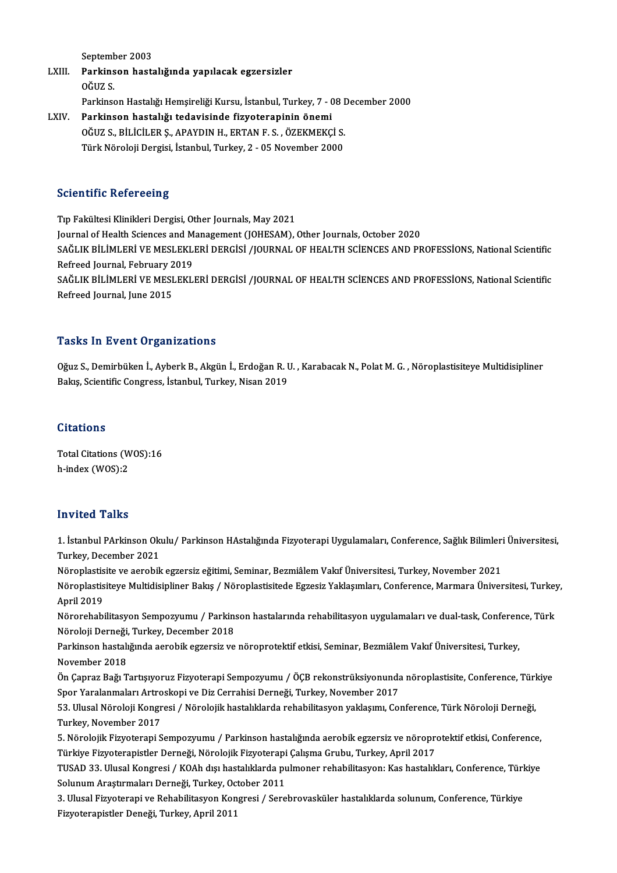September 2003

- September 2003<br>LXIII. Parkinson hastalığında yapılacak egzersizler<br>QČUZ S Septem<mark>b</mark><br>Parkins<br>OĞUZ S. OĞUZ S.<br>Parkinson Hastalığı Hemşireliği Kursu, İstanbul, Turkey, 7 - 08 December 2000
- LXIV. Parkinson hastalığı tedavisinde fizyoterapinin önemi Parkinson Hastalığı Hemşireliği Kursu, İstanbul, Turkey, 7 - 08 I<br>Parkinson hastalığı tedavisinde fizyoterapinin önemi<br>OĞUZ S., BİLİCİLER Ş., APAYDIN H., ERTAN F. S. , ÖZEKMEKÇİ S.<br>Türk Nöroleji Dergisi, İstanbul Turkey, 2 Parkinson hastalığı tedavisinde fizyoterapinin önemi<br>OĞUZ S., BİLİCİLER Ş., APAYDIN H., ERTAN F. S. , ÖZEKMEKÇİ S.<br>Türk Nöroloji Dergisi, İstanbul, Turkey, 2 - 05 November 2000 Türk Nöroloji Dergisi, İstanbul, Turkey, 2 - 05 November 2000<br>Scientific Refereeing

Tıp Fakültesi Klinikleri Dergisi, Other Journals, May 2021 Journal of Health Sciences and Management (JOHESAM), Other Journals, October 2020 Tıp Fakültesi Klinikleri Dergisi, Other Journals, May 2021<br>Journal of Health Sciences and Management (JOHESAM), Other Journals, October 2020<br>SAĞLIK BİLİMLERİ VE MESLEKLERİ DERGİSİ /JOURNAL OF HEALTH SCİENCES AND PROFESSİON Journal of Health Sciences and M<br>SAĞLIK BİLİMLERİ VE MESLEKLI<br>Refreed Journal, February 2019<br>SAĞLIK BİLİMLERİ VE MESLEKLI SAĞLIK BİLİMLERİ VE MESLEKLERİ DERGİSİ /JOURNAL OF HEALTH SCİENCES AND PROFESSİONS, National Scientific<br>Refreed Journal, February 2019<br>SAĞLIK BİLİMLERİ VE MESLEKLERİ DERGİSİ /JOURNAL OF HEALTH SCİENCES AND PROFESSİONS, Nat Refreed Journal, February 2019<br>SAĞLIK BİLİMLERİ VE MESLEKLERİ DERGİSİ /JOURNAL OF HEALTH SCİENCES AND PROFESSİONS, National Scientific<br>Refreed Journal, June 2015

### **Tasks In Event Organizations**

Tasks In Event Organizations<br>Oğuz S., Demirbüken İ., Ayberk B., Akgün İ., Erdoğan R. U. , Karabacak N., Polat M. G. , Nöroplastisiteye Multidisipliner<br>Rakıs Scientifis Congress, İstanbul, Turkey, Nisan 2019 1 doku 111 di olfe ol gammatısınd<br>Oğuz S., Demirbüken İ., Ayberk B., Akgün İ., Erdoğan R. I<br>Bakış, Scientific Congress, İstanbul, Turkey, Nisan 2019 Bakış, Scientific Congress, İstanbul, Turkey, Nisan 2019<br>Citations

Total Citations (WOS):16 h-index (WOS):2

### Invited Talks

**Invited Talks**<br>1. İstanbul PArkinson Okulu/ Parkinson HAstalığında Fizyoterapi Uygulamaları, Conference, Sağlık Bilimleri Üniversitesi,<br>Turkey, Desember 2021 moreca Tame<br>1. İstanbul PArkinson Ok<br>Turkey, December 2021<br>Nöronlastisite ve aerebil 1. İstanbul PArkinson Okulu/ Parkinson HAstalığında Fizyoterapi Uygulamaları, Conference, Sağlık Bilimleri<br>Turkey, December 2021<br>Nöroplastisite ve aerobik egzersiz eğitimi, Seminar, Bezmiâlem Vakıf Üniversitesi, Turkey, No

Turkey, December 2021<br>Nöroplastisite ve aerobik egzersiz eğitimi, Seminar, Bezmiâlem Vakıf Üniversitesi, Turkey, November 2021<br>Nöroplastisiteye Multidisipliner Bakış / Nöroplastisitede Egzesiz Yaklaşımları, Conference, Mar Nöroplastisite ve aerobik egzersiz eğitimi, Seminar, Bezmiâlem Vakıf Üniversitesi, Turkey, November 2021<br>Nöroplastisiteye Multidisipliner Bakış / Nöroplastisitede Egzesiz Yaklaşımları, Conference, Marmara Ünive<br>April 2019

Nöroplastisiteye Multidisipliner Bakış / Nöroplastisitede Egzesiz Yaklaşımları, Conference, Marmara Üniversitesi, Turkey<br>April 2019<br>Nörorehabilitasyon Sempozyumu / Parkinson hastalarında rehabilitasyon uygulamaları ve dual April 2019<br>Nörorehabilitasyon Sempozyumu / Parkin:<br>Nöroloji Derneği, Turkey, December 2018<br>Parkinsen bestaliğində əsrəbili əstənsit və Nörorehabilitasyon Sempozyumu / Parkinson hastalarında rehabilitasyon uygulamaları ve dual-task, Conferen<br>Nöroloji Derneği, Turkey, December 2018<br>Parkinson hastalığında aerobik egzersiz ve nöroprotektif etkisi, Seminar, Be

Nöroloji Derneği, Turkey, December 2018<br>Parkinson hastalığında aerobik egzersiz ve nöroprotektif etkisi, Seminar, Bezmiâlem Vakıf Üniversitesi, Turkey,<br>November 2018 Parkinson hastalığında aerobik egzersiz ve nöroprotektif etkisi, Seminar, Bezmiâlem Vakıf Üniversitesi, Turkey,<br>November 2018<br>Ön Çapraz Bağı Tartışıyoruz Fizyoterapi Sempozyumu / ÖÇB rekonstrüksiyonunda nöroplastisite, Con

November 2018<br>Ön Çapraz Bağı Tartışıyoruz Fizyoterapi Sempozyumu / ÖÇB rekonstrüksiyonunda<br>Spor Yaralanmaları Artroskopi ve Diz Cerrahisi Derneği, Turkey, November 2017<br>52. Ulugal Nöreleji Kongresi / Nörelejik bestalıklard Ön Çapraz Bağı Tartışıyoruz Fizyoterapi Sempozyumu / ÖÇB rekonstrüksiyonunda nöroplastisite, Conference, Türl<br>Spor Yaralanmaları Artroskopi ve Diz Cerrahisi Derneği, Turkey, November 2017<br>53. Ulusal Nöroloji Kongresi / Nör

Spor Yaralanmaları Artro<br>53. Ulusal Nöroloji Kongr<br>Turkey, November 2017<br>5. Nörolojik Firyotorani S 53. Ulusal Nöroloji Kongresi / Nörolojik hastalıklarda rehabilitasyon yaklaşımı, Conference, Türk Nöroloji Derneği,<br>Turkey, November 2017<br>5. Nörolojik Fizyoterapi Sempozyumu / Parkinson hastalığında aerobik egzersiz ve nör

Turkey, November 2017<br>5. Nörolojik Fizyoterapi Sempozyumu / Parkinson hastalığında aerobik egzersiz ve nöropre<br>Türkiye Fizyoterapiştler Derneği, Nörolojik Fizyoterapi Çalışma Grubu, Turkey, April 2017<br>TUSAD 33. Ulusel Kong

5. Nörolojik Fizyoterapi Sempozyumu / Parkinson hastalığında aerobik egzersiz ve nöroprotektif etkisi, Conference,<br>Türkiye Fizyoterapistler Derneği, Nörolojik Fizyoterapi Çalışma Grubu, Turkey, April 2017<br>TUSAD 33. Ulusal Türkiye Fizyoterapistler Derneği, Nörolojik Fizyoterapi<br>TUSAD 33. Ulusal Kongresi / KOAh dışı hastalıklarda pu<br>Solunum Araştırmaları Derneği, Turkey, October 2011<br><sup>2. Ulusal Fizyoterani ve Bohabilitasyon Kongresi / Sero</sup> TUSAD 33. Ulusal Kongresi / KOAh dışı hastalıklarda pulmoner rehabilitasyon: Kas hastalıkları, Conference, Türl<br>Solunum Araştırmaları Derneği, Turkey, October 2011<br>3. Ulusal Fizyoterapi ve Rehabilitasyon Kongresi / Serebro

Solunum Araştırmaları Derneği, Turkey, Oc<br>3. Ulusal Fizyoterapi ve Rehabilitasyon Kon<br>Fizyoterapistler Deneği, Turkey, April 2011